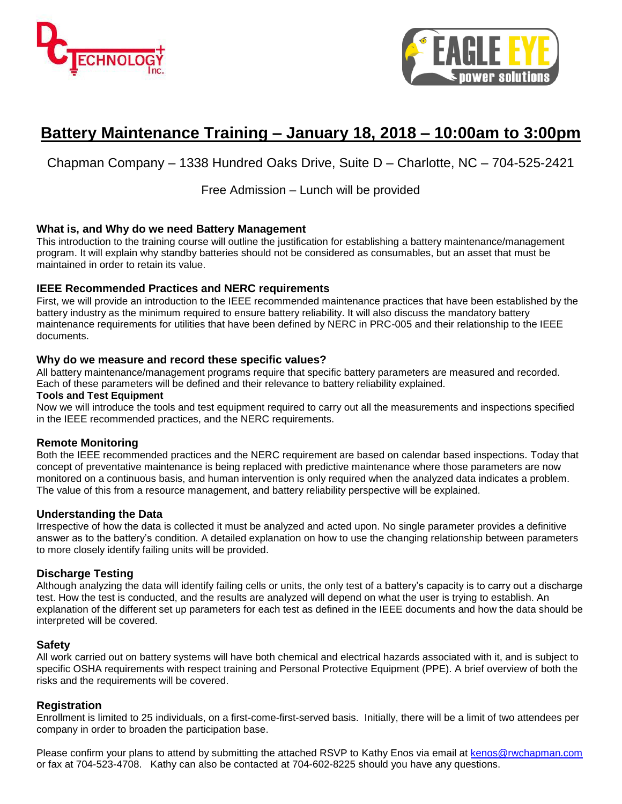



# **Battery Maintenance Training – January 18, 2018 – 10:00am to 3:00pm**

Chapman Company – 1338 Hundred Oaks Drive, Suite D – Charlotte, NC – 704-525-2421

Free Admission – Lunch will be provided

### **What is, and Why do we need Battery Management**

This introduction to the training course will outline the justification for establishing a battery maintenance/management program. It will explain why standby batteries should not be considered as consumables, but an asset that must be maintained in order to retain its value.

### **IEEE Recommended Practices and NERC requirements**

First, we will provide an introduction to the IEEE recommended maintenance practices that have been established by the battery industry as the minimum required to ensure battery reliability. It will also discuss the mandatory battery maintenance requirements for utilities that have been defined by NERC in PRC-005 and their relationship to the IEEE documents.

#### **Why do we measure and record these specific values?**

All battery maintenance/management programs require that specific battery parameters are measured and recorded. Each of these parameters will be defined and their relevance to battery reliability explained.

#### **Tools and Test Equipment**

Now we will introduce the tools and test equipment required to carry out all the measurements and inspections specified in the IEEE recommended practices, and the NERC requirements.

#### **Remote Monitoring**

Both the IEEE recommended practices and the NERC requirement are based on calendar based inspections. Today that concept of preventative maintenance is being replaced with predictive maintenance where those parameters are now monitored on a continuous basis, and human intervention is only required when the analyzed data indicates a problem. The value of this from a resource management, and battery reliability perspective will be explained.

#### **Understanding the Data**

Irrespective of how the data is collected it must be analyzed and acted upon. No single parameter provides a definitive answer as to the battery's condition. A detailed explanation on how to use the changing relationship between parameters to more closely identify failing units will be provided.

#### **Discharge Testing**

Although analyzing the data will identify failing cells or units, the only test of a battery's capacity is to carry out a discharge test. How the test is conducted, and the results are analyzed will depend on what the user is trying to establish. An explanation of the different set up parameters for each test as defined in the IEEE documents and how the data should be interpreted will be covered.

#### **Safety**

All work carried out on battery systems will have both chemical and electrical hazards associated with it, and is subject to specific OSHA requirements with respect training and Personal Protective Equipment (PPE). A brief overview of both the risks and the requirements will be covered.

#### **Registration**

Enrollment is limited to 25 individuals, on a first-come-first-served basis. Initially, there will be a limit of two attendees per company in order to broaden the participation base.

Please confirm your plans to attend by submitting the attached RSVP to Kathy Enos via email at [kenos@rwchapman.com](mailto:kenos@rwchapman.com) or fax at 704-523-4708. Kathy can also be contacted at 704-602-8225 should you have any questions.